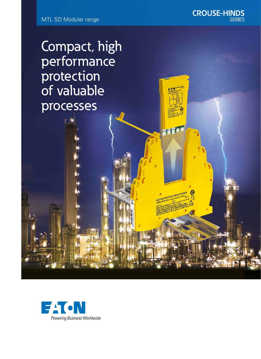CROUSE-HINDS SERIES

Compact, high performance protection of valuable processes

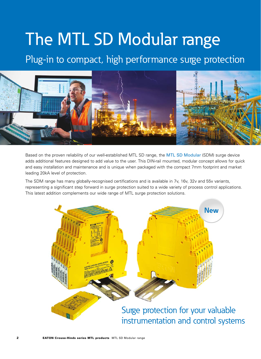# The MTL SD Modular range

### Plug-in to compact, high performance surge protection



Based on the proven reliability of our well-established MTL SD range, the MTL SD Modular (SDM) surge device adds additional features designed to add value to the user. This DIN-rail mounted, modular concept allows for quick and easy installation and maintenance and is unique when packaged with the compact 7mm footprint and market leading 20kA level of protection.

The SDM range has many globally-recognised certifications and is available in 7v, 16v, 32v and 55v variants, representing a significant step forward in surge protection suited to a wide variety of process control applications. This latest addition complements our wide range of MTL surge protection solutions.



Surge protection for your valuable instrumentation and control systems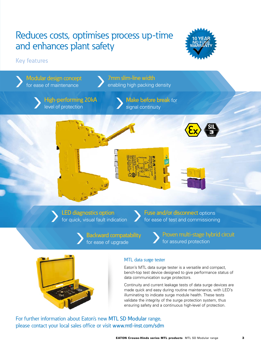## Reduces costs, optimises process up-time and enhances plant safety



### Key features



made quick and easy during routine maintenance, with LED's illuminating to indicate surge module health. These tests validate the integrity of the surge protection system, thus ensuring safety and a continuous high-level of protection.

For further information about Eaton's new MTL SD Modular range, please contact your local sales office or visit www.mtl-inst.com/sdm